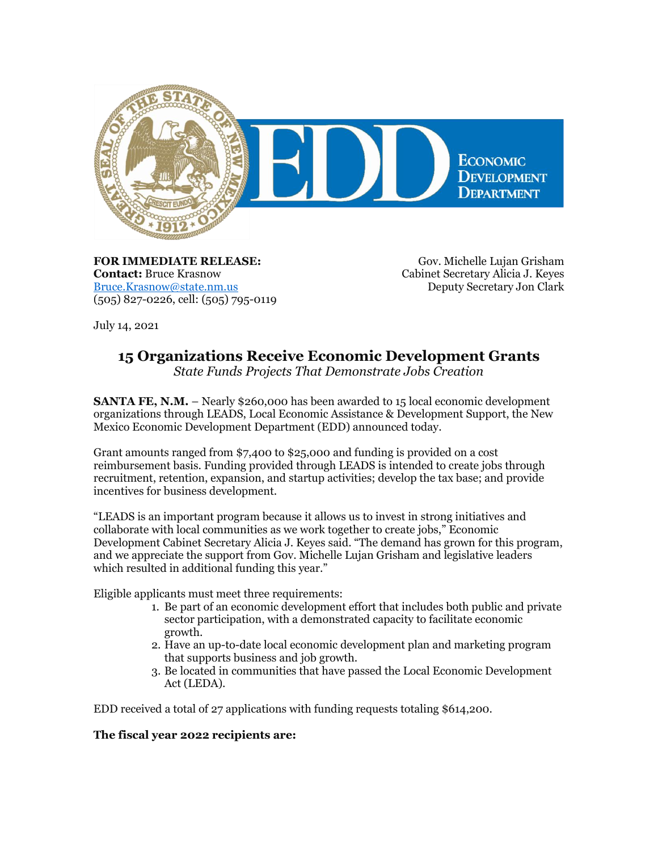

**FOR IMMEDIATE RELEASE: Contact:** Bruce Krasnow [Bruce.Krasnow@state.nm.us](mailto:Bruce.Krasnow@state.nm.us) (505) 827-0226, cell: (505) 795-0119

Gov. Michelle Lujan Grisham Cabinet Secretary Alicia J. Keyes Deputy Secretary Jon Clark

July 14, 2021

## **15 Organizations Receive Economic Development Grants**

*State Funds Projects That Demonstrate Jobs Creation*

**SANTA FE, N.M.** – Nearly \$260,000 has been awarded to 15 local economic development organizations through LEADS, Local Economic Assistance & Development Support, the New Mexico Economic Development Department (EDD) announced today.

Grant amounts ranged from \$7,400 to \$25,000 and funding is provided on a cost reimbursement basis. Funding provided through LEADS is intended to create jobs through recruitment, retention, expansion, and startup activities; develop the tax base; and provide incentives for business development.

"LEADS is an important program because it allows us to invest in strong initiatives and collaborate with local communities as we work together to create jobs," Economic Development Cabinet Secretary Alicia J. Keyes said. "The demand has grown for this program, and we appreciate the support from Gov. Michelle Lujan Grisham and legislative leaders which resulted in additional funding this year."

Eligible applicants must meet three requirements:

- 1. Be part of an economic development effort that includes both public and private sector participation, with a demonstrated capacity to facilitate economic growth.
- 2. Have an up-to-date local economic development plan and marketing program that supports business and job growth.
- 3. Be located in communities that have passed the Local Economic Development Act (LEDA).

EDD received a total of 27 applications with funding requests totaling \$614,200.

## **The fiscal year 2022 recipients are:**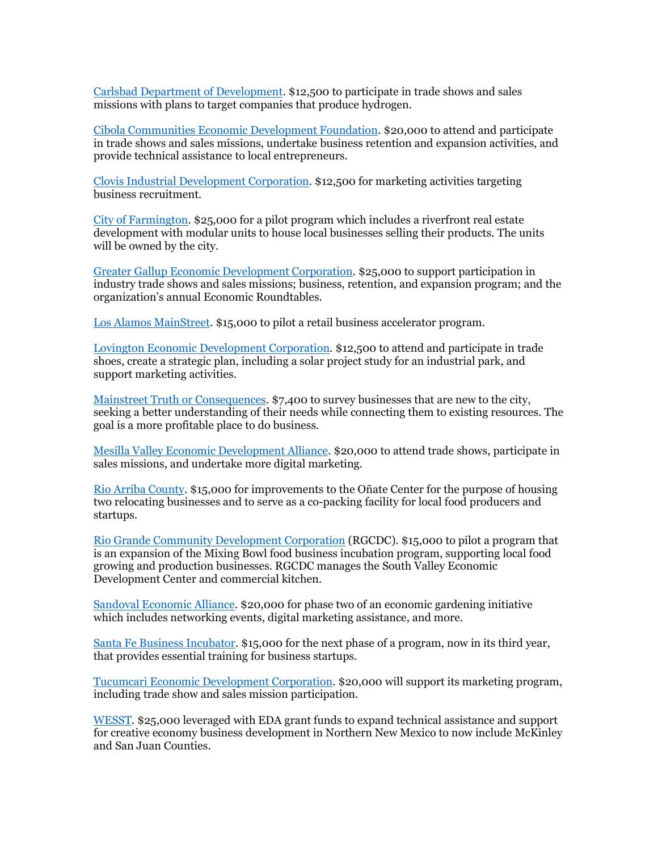[Carlsbad Department of Development.](https://r20.rs6.net/tn.jsp?f=001XX2oMQNqPW5RxkmSCjE0IY1jOG6NKtScH8jelJfbBwZyd_S6QDa4X3AGU2BvO4jf2G_Va4cyKgHv3QyLPs9mlBfYwolXiJq2ol4ja63xywjcFXUym8HGPa1_wHtrj6ork6Kz9mTLNyvkWLsPXqLVDuB4-59t3qt8&c=p1QAmRU3cE7bT6hMH1lQxQUYf4iobnIqPK3D8xmSCxGtWMmrkST4hw==&ch=cOjqPY-41knrs0MvVycvMeMjdjOIXWEgR-kghbCfaykbOUAS1G1JWg==) \$12,500 to participate in trade shows and sales missions with plans to target companies that produce hydrogen.

[Cibola Communities Economic Development Foundation.](https://r20.rs6.net/tn.jsp?f=001XX2oMQNqPW5RxkmSCjE0IY1jOG6NKtScH8jelJfbBwZyd_S6QDa4X3AGU2BvO4jfEudweNV0pkgqydBTwhfmFCOjuQKMGjHjqVLir2gmkiOCgy4Jc1g-M2cCvK5Af0NFWQwaflITediW7HX5uCOBxw==&c=p1QAmRU3cE7bT6hMH1lQxQUYf4iobnIqPK3D8xmSCxGtWMmrkST4hw==&ch=cOjqPY-41knrs0MvVycvMeMjdjOIXWEgR-kghbCfaykbOUAS1G1JWg==) \$20,000 to attend and participate in trade shows and sales missions, undertake business retention and expansion activities, and provide technical assistance to local entrepreneurs.

[Clovis Industrial Development Corporation.](https://r20.rs6.net/tn.jsp?f=001XX2oMQNqPW5RxkmSCjE0IY1jOG6NKtScH8jelJfbBwZyd_S6QDa4X3AGU2BvO4jfIcFLgIazoMJUi0KrWIfhoKorWD9FQgN8dkQoQtddeHcu13wliSAxnOJ4I_1Ni1ngI2_p9Fsg8CVwLwfBcjc2iTO9zFBUfATv&c=p1QAmRU3cE7bT6hMH1lQxQUYf4iobnIqPK3D8xmSCxGtWMmrkST4hw==&ch=cOjqPY-41knrs0MvVycvMeMjdjOIXWEgR-kghbCfaykbOUAS1G1JWg==) \$12,500 for marketing activities targeting business recruitment.

[City of Farmington.](https://r20.rs6.net/tn.jsp?f=001XX2oMQNqPW5RxkmSCjE0IY1jOG6NKtScH8jelJfbBwZyd_S6QDa4X3aHHNRQ_ba4go2-Xqzbg7xaXK2_BbJjzqCQ4FLFJUEv3ebpNuPWvyC6-EkohyfO9w4AuLrCLOEfiBFaUyr3Z7M7M2vdAoIpuXQsghZ2pT85grq6HiPCl8Q=&c=p1QAmRU3cE7bT6hMH1lQxQUYf4iobnIqPK3D8xmSCxGtWMmrkST4hw==&ch=cOjqPY-41knrs0MvVycvMeMjdjOIXWEgR-kghbCfaykbOUAS1G1JWg==) \$25,000 for a pilot program which includes a riverfront real estate development with modular units to house local businesses selling their products. The units will be owned by the city.

[Greater Gallup Economic Development Corporation.](https://r20.rs6.net/tn.jsp?f=001XX2oMQNqPW5RxkmSCjE0IY1jOG6NKtScH8jelJfbBwZyd_S6QDa4X3AGU2BvO4jf9DQEevzmR0Lgz_mE2huoA3MjNGUFvt2LiY7SbHfP4zsAFefWSAlQbyPNTAf1LlEhmd0zhJbsW4plFiffxfKFVw==&c=p1QAmRU3cE7bT6hMH1lQxQUYf4iobnIqPK3D8xmSCxGtWMmrkST4hw==&ch=cOjqPY-41knrs0MvVycvMeMjdjOIXWEgR-kghbCfaykbOUAS1G1JWg==) \$25,000 to support participation in industry trade shows and sales missions; business, retention, and expansion program; and the organization's annual Economic Roundtables.

[Los Alamos MainStreet.](https://r20.rs6.net/tn.jsp?f=001XX2oMQNqPW5RxkmSCjE0IY1jOG6NKtScH8jelJfbBwZyd_S6QDa4X-Hapf9WpJHTNX98kyacCznUmgHbcS9h4La3su9ai6FaYvwA5UG05y8WpK-LEzGhQGn1lnokX8RCGV-thpAYkn_taVMOOU2yL-sjLbd1ewT2&c=p1QAmRU3cE7bT6hMH1lQxQUYf4iobnIqPK3D8xmSCxGtWMmrkST4hw==&ch=cOjqPY-41knrs0MvVycvMeMjdjOIXWEgR-kghbCfaykbOUAS1G1JWg==) \$15,000 to pilot a retail business accelerator program.

[Lovington Economic Development Corporation.](https://r20.rs6.net/tn.jsp?f=001XX2oMQNqPW5RxkmSCjE0IY1jOG6NKtScH8jelJfbBwZyd_S6QDa4X3AGU2BvO4jfsXjJVs_QE2xLoBrAXwwaUMzQcPXl4sjWMeXbG6hSpl7ggGn-SE7DEeMFzjl-6KI5nVCwwHtAZCQKnU4K3Xo1Sw==&c=p1QAmRU3cE7bT6hMH1lQxQUYf4iobnIqPK3D8xmSCxGtWMmrkST4hw==&ch=cOjqPY-41knrs0MvVycvMeMjdjOIXWEgR-kghbCfaykbOUAS1G1JWg==) \$12,500 to attend and participate in trade shoes, create a strategic plan, including a solar project study for an industrial park, and support marketing activities.

[Mainstreet Truth or Consequences.](https://r20.rs6.net/tn.jsp?f=001XX2oMQNqPW5RxkmSCjE0IY1jOG6NKtScH8jelJfbBwZyd_S6QDa4Xze4hPSEhdMdPwaibVGk3Gs0dwFkKn4Ykz6xg6JdLqopu0jHMsPS2B3uZnA4Dt3kFJDQqUaPC4G_hiRhN-qBQrHzZq8FHmzv_w==&c=p1QAmRU3cE7bT6hMH1lQxQUYf4iobnIqPK3D8xmSCxGtWMmrkST4hw==&ch=cOjqPY-41knrs0MvVycvMeMjdjOIXWEgR-kghbCfaykbOUAS1G1JWg==) \$7,400 to survey businesses that are new to the city, seeking a better understanding of their needs while connecting them to existing resources. The goal is a more profitable place to do business.

[Mesilla Valley Economic Development Alliance.](https://r20.rs6.net/tn.jsp?f=001XX2oMQNqPW5RxkmSCjE0IY1jOG6NKtScH8jelJfbBwZyd_S6QDa4X3AGU2BvO4jfGRi8XfpSejQkZBIZ9qyQhI-2S6kbrscznHoUJHKcnapto2FCSZ3bEREfMBdYsUA55q4iMsdQb5E=&c=p1QAmRU3cE7bT6hMH1lQxQUYf4iobnIqPK3D8xmSCxGtWMmrkST4hw==&ch=cOjqPY-41knrs0MvVycvMeMjdjOIXWEgR-kghbCfaykbOUAS1G1JWg==) \$20,000 to attend trade shows, participate in sales missions, and undertake more digital marketing.

[Rio Arriba County.](https://r20.rs6.net/tn.jsp?f=001XX2oMQNqPW5RxkmSCjE0IY1jOG6NKtScH8jelJfbBwZyd_S6QDa4X3AGU2BvO4jfM-nV_ObUq7TJ16l4hVFTVGb038_-MQCup9_HrUItvMyyvosU1ywOGyN-zwqeVlY90HEAeNlJla8RD3Yd2fdDWg==&c=p1QAmRU3cE7bT6hMH1lQxQUYf4iobnIqPK3D8xmSCxGtWMmrkST4hw==&ch=cOjqPY-41knrs0MvVycvMeMjdjOIXWEgR-kghbCfaykbOUAS1G1JWg==) \$15,000 for improvements to the Oñate Center for the purpose of housing two relocating businesses and to serve as a co-packing facility for local food producers and startups.

[Rio Grande Community Development Corporation](https://r20.rs6.net/tn.jsp?f=001XX2oMQNqPW5RxkmSCjE0IY1jOG6NKtScH8jelJfbBwZyd_S6QDa4X3AGU2BvO4jf4hRZYo4JB5ciH6E61hja-EL9TnQdur2GhkG6g63lCTmhj91kT3KuHaQEyWBFk0PY-apGuM4zJM4=&c=p1QAmRU3cE7bT6hMH1lQxQUYf4iobnIqPK3D8xmSCxGtWMmrkST4hw==&ch=cOjqPY-41knrs0MvVycvMeMjdjOIXWEgR-kghbCfaykbOUAS1G1JWg==) (RGCDC). \$15,000 to pilot a program that is an expansion of the Mixing Bowl food business incubation program, supporting local food growing and production businesses. RGCDC manages the South Valley Economic Development Center and commercial kitchen.

[Sandoval Economic Alliance.](https://r20.rs6.net/tn.jsp?f=001XX2oMQNqPW5RxkmSCjE0IY1jOG6NKtScH8jelJfbBwZyd_S6QDa4X3AGU2BvO4jfc1xoj0NYDUDE2qUnun_ktGMwYHtlA82U6rSJSdYeNqx-D9va5kF_oPfhG7i3_UKbJMRlmEDLlbo=&c=p1QAmRU3cE7bT6hMH1lQxQUYf4iobnIqPK3D8xmSCxGtWMmrkST4hw==&ch=cOjqPY-41knrs0MvVycvMeMjdjOIXWEgR-kghbCfaykbOUAS1G1JWg==) \$20,000 for phase two of an economic gardening initiative which includes networking events, digital marketing assistance, and more.

[Santa Fe Business Incubator.](https://r20.rs6.net/tn.jsp?f=001XX2oMQNqPW5RxkmSCjE0IY1jOG6NKtScH8jelJfbBwZyd_S6QDa4X3AGU2BvO4jfChVASCwr3WyVLzrz_U_lGxFf2iPxv9b-DuVu2EC-AJFvhJ0Pzzx6LajpVR2_5I4Zh27hRljlw6s=&c=p1QAmRU3cE7bT6hMH1lQxQUYf4iobnIqPK3D8xmSCxGtWMmrkST4hw==&ch=cOjqPY-41knrs0MvVycvMeMjdjOIXWEgR-kghbCfaykbOUAS1G1JWg==) \$15,000 for the next phase of a program, now in its third year, that provides essential training for business startups.

[Tucumcari Economic Development Corporation.](https://r20.rs6.net/tn.jsp?f=001XX2oMQNqPW5RxkmSCjE0IY1jOG6NKtScH8jelJfbBwZyd_S6QDa4X3AGU2BvO4jftoVFsFIakqNPYXbDBL81xG6y4BCV5X0AnhFvsbT2PsKZzslmXkf6CZggquHnBeo9L3p6l4U0TAjeCXaSli-wUA==&c=p1QAmRU3cE7bT6hMH1lQxQUYf4iobnIqPK3D8xmSCxGtWMmrkST4hw==&ch=cOjqPY-41knrs0MvVycvMeMjdjOIXWEgR-kghbCfaykbOUAS1G1JWg==) \$20,000 will support its marketing program, including trade show and sales mission participation.

[WESST.](https://r20.rs6.net/tn.jsp?f=001XX2oMQNqPW5RxkmSCjE0IY1jOG6NKtScH8jelJfbBwZyd_S6QDa4X5GY1Z9vTr61Qs9WcC7FxHSuwrLmrFn6P6wxYBNc703KapCPW0ffaW2Q75FCAQNKbmBCuWZGvtMEVCg0fuVQ3pA=&c=p1QAmRU3cE7bT6hMH1lQxQUYf4iobnIqPK3D8xmSCxGtWMmrkST4hw==&ch=cOjqPY-41knrs0MvVycvMeMjdjOIXWEgR-kghbCfaykbOUAS1G1JWg==) \$25,000 leveraged with EDA grant funds to expand technical assistance and support for creative economy business development in Northern New Mexico to now include McKinley and San Juan Counties.